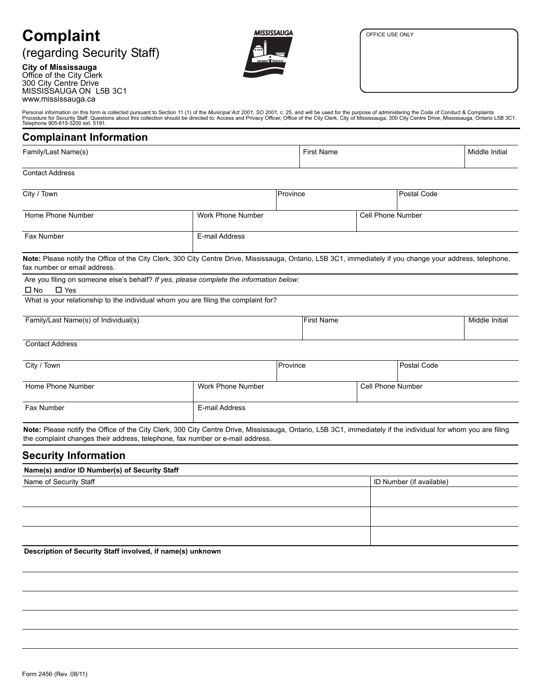#### OFFICE USE ONLY

# **Complaint**

## (regarding Security Staff)

**City of Mississauga** Office of the City Clerk 300 City Centre Drive MISSISSAUGA ON L5B 3C1 www.mississauga.ca



Personal information on this form is collected pursuant to Section 11 (1) of the *Municipal Act 2001, SO 2001,* c. 25, and will be used for the purpose of administering the Code of Conduct & Complaints<br>Procedure for Securi

## **Complainant Information**

| ____                |                   |                |  |
|---------------------|-------------------|----------------|--|
| Family/Last Name(s) | <b>First Name</b> | Middle Initial |  |
|                     |                   |                |  |

### Contact Address

| City / Town                                                                                                                                                                                |                   | Province          |  | Postal Code |                |
|--------------------------------------------------------------------------------------------------------------------------------------------------------------------------------------------|-------------------|-------------------|--|-------------|----------------|
| Home Phone Number                                                                                                                                                                          | Work Phone Number | Cell Phone Number |  |             |                |
| Fax Number                                                                                                                                                                                 | E-mail Address    |                   |  |             |                |
| Note: Please notify the Office of the City Clerk, 300 City Centre Drive, Mississauga, Ontario, L5B 3C1, immediately if you change your address, telephone,<br>fax number or email address. |                   |                   |  |             |                |
| Are you filing on someone else's behalf? If yes, please complete the information below:<br>$\Box$ Yes<br>$\square$ No                                                                      |                   |                   |  |             |                |
| What is your relationship to the individual whom you are filing the complaint for?                                                                                                         |                   |                   |  |             |                |
| Family/Last Name(s) of Individual(s)                                                                                                                                                       |                   | <b>First Name</b> |  |             | Middle Initial |
| <b>Contact Address</b>                                                                                                                                                                     |                   |                   |  |             |                |
| City / Town                                                                                                                                                                                |                   | Province          |  | Postal Code |                |

| Work Phone Number | Cell Phone Number |  |
|-------------------|-------------------|--|
|                   |                   |  |
| E-mail Address    |                   |  |
|                   |                   |  |

Note: Please notify the Office of the City Clerk, 300 City Centre Drive, Mississauga, Ontario, L5B 3C1, immediately if the individual for whom you are filing the complaint changes their address, telephone, fax number or e-mail address.

## **Security Information**

| Name(s) and/or ID Number(s) of Security Staff |                          |  |  |
|-----------------------------------------------|--------------------------|--|--|
| Name of Security Staff                        | ID Number (if available) |  |  |
|                                               |                          |  |  |
|                                               |                          |  |  |
|                                               |                          |  |  |
|                                               |                          |  |  |
|                                               |                          |  |  |
|                                               |                          |  |  |

**Description of Security Staff involved, if name(s) unknown**